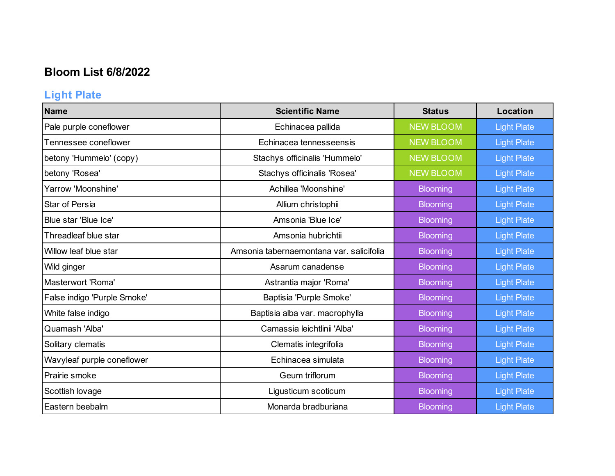## **Bloom List 6/8/2022**

# **Light Plate**

| <b>Name</b>                 | <b>Scientific Name</b>                   | <b>Status</b>    | Location           |
|-----------------------------|------------------------------------------|------------------|--------------------|
| Pale purple coneflower      | Echinacea pallida                        | <b>NEW BLOOM</b> | <b>Light Plate</b> |
| Tennessee coneflower        | Echinacea tennesseensis                  | <b>NEW BLOOM</b> | <b>Light Plate</b> |
| betony 'Hummelo' (copy)     | Stachys officinalis 'Hummelo'            | <b>NEW BLOOM</b> | <b>Light Plate</b> |
| betony 'Rosea'              | Stachys officinalis 'Rosea'              | <b>NEW BLOOM</b> | <b>Light Plate</b> |
| Yarrow 'Moonshine'          | Achillea 'Moonshine'                     | <b>Blooming</b>  | <b>Light Plate</b> |
| Star of Persia              | Allium christophii                       | <b>Blooming</b>  | <b>Light Plate</b> |
| Blue star 'Blue Ice'        | Amsonia 'Blue Ice'                       | <b>Blooming</b>  | <b>Light Plate</b> |
| Threadleaf blue star        | Amsonia hubrichtii                       | <b>Blooming</b>  | <b>Light Plate</b> |
| Willow leaf blue star       | Amsonia tabernaemontana var. salicifolia | <b>Blooming</b>  | <b>Light Plate</b> |
| Wild ginger                 | Asarum canadense                         | <b>Blooming</b>  | <b>Light Plate</b> |
| Masterwort 'Roma'           | Astrantia major 'Roma'                   | <b>Blooming</b>  | <b>Light Plate</b> |
| False indigo 'Purple Smoke' | Baptisia 'Purple Smoke'                  | <b>Blooming</b>  | <b>Light Plate</b> |
| White false indigo          | Baptisia alba var. macrophylla           | <b>Blooming</b>  | <b>Light Plate</b> |
| Quamash 'Alba'              | Camassia leichtlinii 'Alba'              | <b>Blooming</b>  | <b>Light Plate</b> |
| Solitary clematis           | Clematis integrifolia                    | <b>Blooming</b>  | <b>Light Plate</b> |
| Wavyleaf purple coneflower  | Echinacea simulata                       | <b>Blooming</b>  | <b>Light Plate</b> |
| Prairie smoke               | Geum triflorum                           | <b>Blooming</b>  | <b>Light Plate</b> |
| Scottish lovage             | Ligusticum scoticum                      | Blooming         | <b>Light Plate</b> |
| Eastern beebalm             | Monarda bradburiana                      | <b>Blooming</b>  | <b>Light Plate</b> |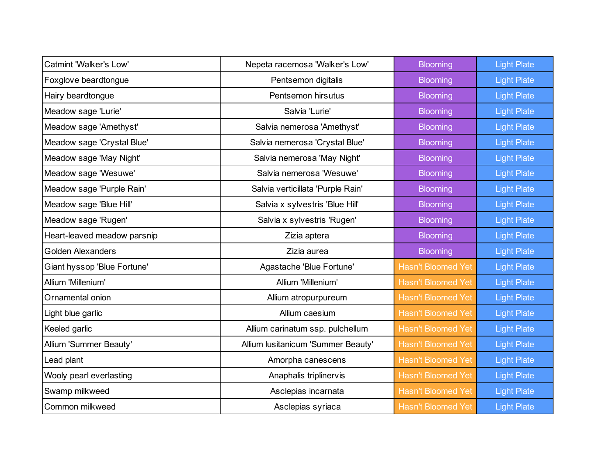| Catmint 'Walker's Low'      | Nepeta racemosa 'Walker's Low'     | <b>Blooming</b>           | <b>Light Plate</b> |
|-----------------------------|------------------------------------|---------------------------|--------------------|
| Foxglove beardtongue        | Pentsemon digitalis                | <b>Blooming</b>           | <b>Light Plate</b> |
| Hairy beardtongue           | Pentsemon hirsutus                 | <b>Blooming</b>           | <b>Light Plate</b> |
| Meadow sage 'Lurie'         | Salvia 'Lurie'                     | <b>Blooming</b>           | <b>Light Plate</b> |
| Meadow sage 'Amethyst'      | Salvia nemerosa 'Amethyst'         | <b>Blooming</b>           | <b>Light Plate</b> |
| Meadow sage 'Crystal Blue'  | Salvia nemerosa 'Crystal Blue'     | <b>Blooming</b>           | <b>Light Plate</b> |
| Meadow sage 'May Night'     | Salvia nemerosa 'May Night'        | <b>Blooming</b>           | <b>Light Plate</b> |
| Meadow sage 'Wesuwe'        | Salvia nemerosa 'Wesuwe'           | <b>Blooming</b>           | <b>Light Plate</b> |
| Meadow sage 'Purple Rain'   | Salvia verticillata 'Purple Rain'  | <b>Blooming</b>           | <b>Light Plate</b> |
| Meadow sage 'Blue Hill'     | Salvia x sylvestris 'Blue Hill'    | <b>Blooming</b>           | <b>Light Plate</b> |
| Meadow sage 'Rugen'         | Salvia x sylvestris 'Rugen'        | <b>Blooming</b>           | <b>Light Plate</b> |
| Heart-leaved meadow parsnip | Zizia aptera                       | <b>Blooming</b>           | <b>Light Plate</b> |
| <b>Golden Alexanders</b>    | Zizia aurea                        | <b>Blooming</b>           | <b>Light Plate</b> |
| Giant hyssop 'Blue Fortune' | Agastache 'Blue Fortune'           | <b>Hasn't Bloomed Yet</b> | <b>Light Plate</b> |
| Allium 'Millenium'          | Allium 'Millenium'                 | <b>Hasn't Bloomed Yet</b> | <b>Light Plate</b> |
| Ornamental onion            | Allium atropurpureum               | <b>Hasn't Bloomed Yet</b> | <b>Light Plate</b> |
| Light blue garlic           | Allium caesium                     | <b>Hasn't Bloomed Yet</b> | <b>Light Plate</b> |
| Keeled garlic               | Allium carinatum ssp. pulchellum   | <b>Hasn't Bloomed Yet</b> | <b>Light Plate</b> |
| Allium 'Summer Beauty'      | Allium lusitanicum 'Summer Beauty' | <b>Hasn't Bloomed Yet</b> | <b>Light Plate</b> |
| Lead plant                  | Amorpha canescens                  | <b>Hasn't Bloomed Yet</b> | <b>Light Plate</b> |
| Wooly pearl everlasting     | Anaphalis triplinervis             | <b>Hasn't Bloomed Yet</b> | <b>Light Plate</b> |
| Swamp milkweed              | Asclepias incarnata                | <b>Hasn't Bloomed Yet</b> | <b>Light Plate</b> |
| Common milkweed             | Asclepias syriaca                  | <b>Hasn't Bloomed Yet</b> | <b>Light Plate</b> |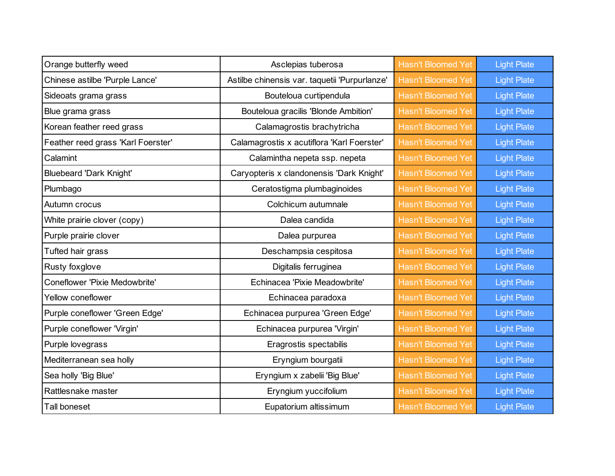| Orange butterfly weed              | Asclepias tuberosa                            | <b>Hasn't Bloomed Yet</b> | <b>Light Plate</b> |
|------------------------------------|-----------------------------------------------|---------------------------|--------------------|
| Chinese astilbe 'Purple Lance'     | Astilbe chinensis var. taquetii 'Purpurlanze' | <b>Hasn't Bloomed Yet</b> | <b>Light Plate</b> |
| Sideoats grama grass               | Bouteloua curtipendula                        | <b>Hasn't Bloomed Yet</b> | <b>Light Plate</b> |
| Blue grama grass                   | Bouteloua gracilis 'Blonde Ambition'          | <b>Hasn't Bloomed Yet</b> | <b>Light Plate</b> |
| Korean feather reed grass          | Calamagrostis brachytricha                    | <b>Hasn't Bloomed Yet</b> | <b>Light Plate</b> |
| Feather reed grass 'Karl Foerster' | Calamagrostis x acutiflora 'Karl Foerster'    | <b>Hasn't Bloomed Yet</b> | <b>Light Plate</b> |
| Calamint                           | Calamintha nepeta ssp. nepeta                 | <b>Hasn't Bloomed Yet</b> | <b>Light Plate</b> |
| <b>Bluebeard 'Dark Knight'</b>     | Caryopteris x clandonensis 'Dark Knight'      | <b>Hasn't Bloomed Yet</b> | <b>Light Plate</b> |
| Plumbago                           | Ceratostigma plumbaginoides                   | <b>Hasn't Bloomed Yet</b> | <b>Light Plate</b> |
| Autumn crocus                      | Colchicum autumnale                           | <b>Hasn't Bloomed Yet</b> | <b>Light Plate</b> |
| White prairie clover (copy)        | Dalea candida                                 | <b>Hasn't Bloomed Yet</b> | <b>Light Plate</b> |
| Purple prairie clover              | Dalea purpurea                                | <b>Hasn't Bloomed Yet</b> | <b>Light Plate</b> |
| Tufted hair grass                  | Deschampsia cespitosa                         | <b>Hasn't Bloomed Yet</b> | <b>Light Plate</b> |
| Rusty foxglove                     | Digitalis ferruginea                          | <b>Hasn't Bloomed Yet</b> | <b>Light Plate</b> |
| Coneflower 'Pixie Medowbrite'      | Echinacea 'Pixie Meadowbrite'                 | <b>Hasn't Bloomed Yet</b> | <b>Light Plate</b> |
| <b>Yellow coneflower</b>           | Echinacea paradoxa                            | <b>Hasn't Bloomed Yet</b> | <b>Light Plate</b> |
| Purple coneflower 'Green Edge'     | Echinacea purpurea 'Green Edge'               | <b>Hasn't Bloomed Yet</b> | <b>Light Plate</b> |
| Purple coneflower 'Virgin'         | Echinacea purpurea 'Virgin'                   | <b>Hasn't Bloomed Yet</b> | <b>Light Plate</b> |
| Purple lovegrass                   | Eragrostis spectabilis                        | <b>Hasn't Bloomed Yet</b> | <b>Light Plate</b> |
| Mediterranean sea holly            | Eryngium bourgatii                            | <b>Hasn't Bloomed Yet</b> | <b>Light Plate</b> |
| Sea holly 'Big Blue'               | Eryngium x zabelii 'Big Blue'                 | <b>Hasn't Bloomed Yet</b> | <b>Light Plate</b> |
| Rattlesnake master                 | Eryngium yuccifolium                          | <b>Hasn't Bloomed Yet</b> | <b>Light Plate</b> |
| Tall boneset                       | Eupatorium altissimum                         | <b>Hasn't Bloomed Yet</b> | <b>Light Plate</b> |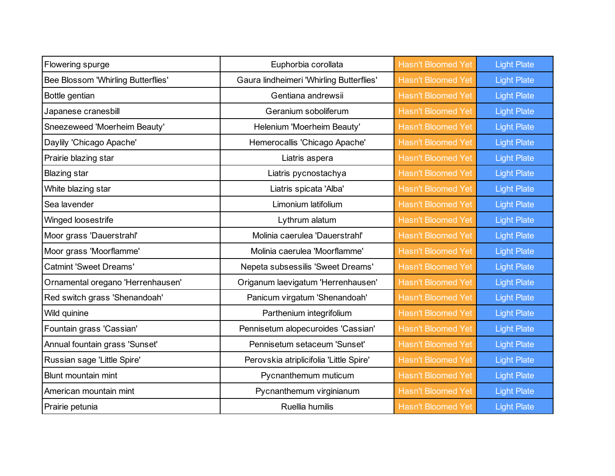| Flowering spurge                   | Euphorbia corollata                      | <b>Hasn't Bloomed Yet</b> | <b>Light Plate</b> |
|------------------------------------|------------------------------------------|---------------------------|--------------------|
| Bee Blossom 'Whirling Butterflies' | Gaura lindheimeri 'Whirling Butterflies' | <b>Hasn't Bloomed Yet</b> | <b>Light Plate</b> |
| Bottle gentian                     | Gentiana andrewsii                       | <b>Hasn't Bloomed Yet</b> | <b>Light Plate</b> |
| Japanese cranesbill                | Geranium soboliferum                     | <b>Hasn't Bloomed Yet</b> | <b>Light Plate</b> |
| Sneezeweed 'Moerheim Beauty'       | Helenium 'Moerheim Beauty'               | <b>Hasn't Bloomed Yet</b> | <b>Light Plate</b> |
| Daylily 'Chicago Apache'           | Hemerocallis 'Chicago Apache'            | <b>Hasn't Bloomed Yet</b> | <b>Light Plate</b> |
| Prairie blazing star               | Liatris aspera                           | <b>Hasn't Bloomed Yet</b> | <b>Light Plate</b> |
| <b>Blazing star</b>                | Liatris pycnostachya                     | <b>Hasn't Bloomed Yet</b> | <b>Light Plate</b> |
| White blazing star                 | Liatris spicata 'Alba'                   | <b>Hasn't Bloomed Yet</b> | <b>Light Plate</b> |
| Sea lavender                       | Limonium latifolium                      | <b>Hasn't Bloomed Yet</b> | <b>Light Plate</b> |
| Winged loosestrife                 | Lythrum alatum                           | <b>Hasn't Bloomed Yet</b> | <b>Light Plate</b> |
| Moor grass 'Dauerstrahl'           | Molinia caerulea 'Dauerstrahl'           | <b>Hasn't Bloomed Yet</b> | <b>Light Plate</b> |
| Moor grass 'Moorflamme'            | Molinia caerulea 'Moorflamme'            | <b>Hasn't Bloomed Yet</b> | <b>Light Plate</b> |
| <b>Catmint 'Sweet Dreams'</b>      | Nepeta subsessilis 'Sweet Dreams'        | <b>Hasn't Bloomed Yet</b> | <b>Light Plate</b> |
| Ornamental oregano 'Herrenhausen'  | Origanum laevigatum 'Herrenhausen'       | <b>Hasn't Bloomed Yet</b> | <b>Light Plate</b> |
| Red switch grass 'Shenandoah'      | Panicum virgatum 'Shenandoah'            | <b>Hasn't Bloomed Yet</b> | <b>Light Plate</b> |
| Wild quinine                       | Parthenium integrifolium                 | <b>Hasn't Bloomed Yet</b> | <b>Light Plate</b> |
| Fountain grass 'Cassian'           | Pennisetum alopecuroides 'Cassian'       | <b>Hasn't Bloomed Yet</b> | <b>Light Plate</b> |
| Annual fountain grass 'Sunset'     | Pennisetum setaceum 'Sunset'             | <b>Hasn't Bloomed Yet</b> | <b>Light Plate</b> |
| Russian sage 'Little Spire'        | Perovskia atriplicifolia 'Little Spire'  | <b>Hasn't Bloomed Yet</b> | <b>Light Plate</b> |
| Blunt mountain mint                | Pycnanthemum muticum                     | <b>Hasn't Bloomed Yet</b> | <b>Light Plate</b> |
| American mountain mint             | Pycnanthemum virginianum                 | <b>Hasn't Bloomed Yet</b> | <b>Light Plate</b> |
| Prairie petunia                    | Ruellia humilis                          | <b>Hasn't Bloomed Yet</b> | <b>Light Plate</b> |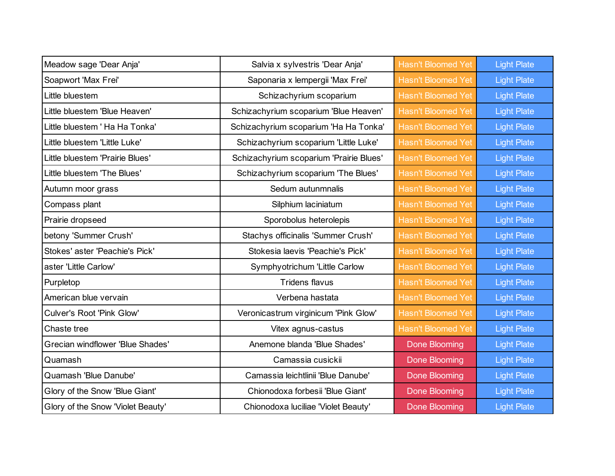| Meadow sage 'Dear Anja'           | Salvia x sylvestris 'Dear Anja'         | <b>Hasn't Bloomed Yet</b> | <b>Light Plate</b> |
|-----------------------------------|-----------------------------------------|---------------------------|--------------------|
| Soapwort 'Max Frei'               | Saponaria x lempergii 'Max Frei'        | <b>Hasn't Bloomed Yet</b> | <b>Light Plate</b> |
| Little bluestem                   | Schizachyrium scoparium                 | <b>Hasn't Bloomed Yet</b> | <b>Light Plate</b> |
| Little bluestem 'Blue Heaven'     | Schizachyrium scoparium 'Blue Heaven'   | <b>Hasn't Bloomed Yet</b> | <b>Light Plate</b> |
| Little bluestem ' Ha Ha Tonka'    | Schizachyrium scoparium 'Ha Ha Tonka'   | <b>Hasn't Bloomed Yet</b> | <b>Light Plate</b> |
| Little bluestem 'Little Luke'     | Schizachyrium scoparium 'Little Luke'   | <b>Hasn't Bloomed Yet</b> | <b>Light Plate</b> |
| Little bluestem 'Prairie Blues'   | Schizachyrium scoparium 'Prairie Blues' | <b>Hasn't Bloomed Yet</b> | <b>Light Plate</b> |
| Little bluestem 'The Blues'       | Schizachyrium scoparium 'The Blues'     | <b>Hasn't Bloomed Yet</b> | <b>Light Plate</b> |
| Autumn moor grass                 | Sedum autunmnalis                       | <b>Hasn't Bloomed Yet</b> | <b>Light Plate</b> |
| Compass plant                     | Silphium laciniatum                     | <b>Hasn't Bloomed Yet</b> | <b>Light Plate</b> |
| Prairie dropseed                  | Sporobolus heterolepis                  | <b>Hasn't Bloomed Yet</b> | <b>Light Plate</b> |
| betony 'Summer Crush'             | Stachys officinalis 'Summer Crush'      | <b>Hasn't Bloomed Yet</b> | <b>Light Plate</b> |
| Stokes' aster 'Peachie's Pick'    | Stokesia laevis 'Peachie's Pick'        | <b>Hasn't Bloomed Yet</b> | <b>Light Plate</b> |
| aster 'Little Carlow'             | Symphyotrichum 'Little Carlow           | <b>Hasn't Bloomed Yet</b> | <b>Light Plate</b> |
| Purpletop                         | <b>Tridens flavus</b>                   | <b>Hasn't Bloomed Yet</b> | <b>Light Plate</b> |
| American blue vervain             | Verbena hastata                         | <b>Hasn't Bloomed Yet</b> | <b>Light Plate</b> |
| Culver's Root 'Pink Glow'         | Veronicastrum virginicum 'Pink Glow'    | <b>Hasn't Bloomed Yet</b> | <b>Light Plate</b> |
| Chaste tree                       | Vitex agnus-castus                      | <b>Hasn't Bloomed Yet</b> | <b>Light Plate</b> |
| Grecian windflower 'Blue Shades'  | Anemone blanda 'Blue Shades'            | <b>Done Blooming</b>      | <b>Light Plate</b> |
| Quamash                           | Camassia cusickii                       | <b>Done Blooming</b>      | <b>Light Plate</b> |
| Quamash 'Blue Danube'             | Camassia leichtlinii 'Blue Danube'      | <b>Done Blooming</b>      | <b>Light Plate</b> |
| Glory of the Snow 'Blue Giant'    | Chionodoxa forbesii 'Blue Giant'        | <b>Done Blooming</b>      | <b>Light Plate</b> |
| Glory of the Snow 'Violet Beauty' | Chionodoxa luciliae 'Violet Beauty'     | Done Blooming             | <b>Light Plate</b> |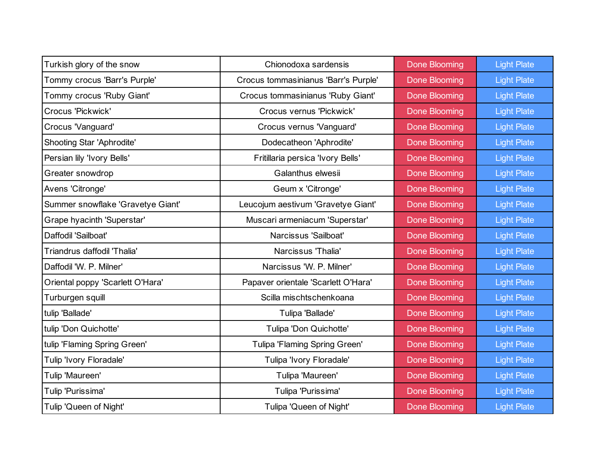| Turkish glory of the snow         | Chionodoxa sardensis                 | <b>Done Blooming</b> | <b>Light Plate</b> |
|-----------------------------------|--------------------------------------|----------------------|--------------------|
| Tommy crocus 'Barr's Purple'      | Crocus tommasinianus 'Barr's Purple' | <b>Done Blooming</b> | <b>Light Plate</b> |
| Tommy crocus 'Ruby Giant'         | Crocus tommasinianus 'Ruby Giant'    | Done Blooming        | <b>Light Plate</b> |
| Crocus 'Pickwick'                 | Crocus vernus 'Pickwick'             | <b>Done Blooming</b> | <b>Light Plate</b> |
| Crocus 'Vanguard'                 | Crocus vernus 'Vanguard'             | <b>Done Blooming</b> | <b>Light Plate</b> |
| Shooting Star 'Aphrodite'         | Dodecatheon 'Aphrodite'              | <b>Done Blooming</b> | <b>Light Plate</b> |
| Persian lily 'Ivory Bells'        | Fritillaria persica 'Ivory Bells'    | Done Blooming        | <b>Light Plate</b> |
| Greater snowdrop                  | Galanthus elwesii                    | <b>Done Blooming</b> | <b>Light Plate</b> |
| Avens 'Citronge'                  | Geum x 'Citronge'                    | <b>Done Blooming</b> | <b>Light Plate</b> |
| Summer snowflake 'Gravetye Giant' | Leucojum aestivum 'Gravetye Giant'   | <b>Done Blooming</b> | <b>Light Plate</b> |
| Grape hyacinth 'Superstar'        | Muscari armeniacum 'Superstar'       | Done Blooming        | <b>Light Plate</b> |
| Daffodil 'Sailboat'               | Narcissus 'Sailboat'                 | <b>Done Blooming</b> | <b>Light Plate</b> |
| Triandrus daffodil 'Thalia'       | Narcissus 'Thalia'                   | <b>Done Blooming</b> | <b>Light Plate</b> |
| Daffodil 'W. P. Milner'           | Narcissus 'W. P. Milner'             | <b>Done Blooming</b> | <b>Light Plate</b> |
| Oriental poppy 'Scarlett O'Hara'  | Papaver orientale 'Scarlett O'Hara'  | Done Blooming        | <b>Light Plate</b> |
| Turburgen squill                  | Scilla mischtschenkoana              | <b>Done Blooming</b> | <b>Light Plate</b> |
| tulip 'Ballade'                   | Tulipa 'Ballade'                     | <b>Done Blooming</b> | <b>Light Plate</b> |
| tulip 'Don Quichotte'             | Tulipa 'Don Quichotte'               | <b>Done Blooming</b> | <b>Light Plate</b> |
| tulip 'Flaming Spring Green'      | Tulipa 'Flaming Spring Green'        | Done Blooming        | <b>Light Plate</b> |
| Tulip 'Ivory Floradale'           | Tulipa 'Ivory Floradale'             | <b>Done Blooming</b> | <b>Light Plate</b> |
| Tulip 'Maureen'                   | Tulipa 'Maureen'                     | Done Blooming        | <b>Light Plate</b> |
| Tulip 'Purissima'                 | Tulipa 'Purissima'                   | <b>Done Blooming</b> | <b>Light Plate</b> |
| Tulip 'Queen of Night'            | Tulipa 'Queen of Night'              | <b>Done Blooming</b> | <b>Light Plate</b> |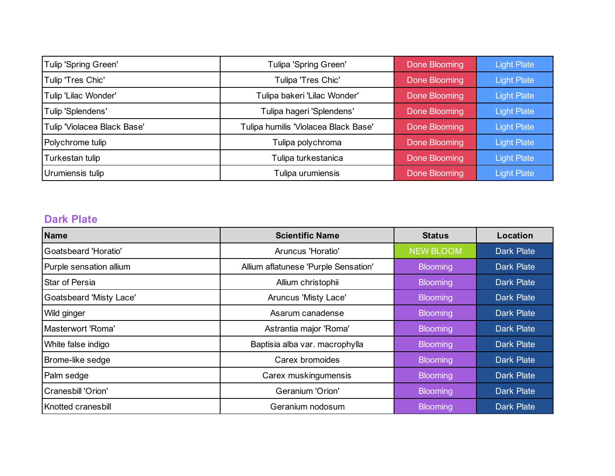| Tulip 'Spring Green'        | Tulipa 'Spring Green'                | Done Blooming | <b>Light Plate</b> |
|-----------------------------|--------------------------------------|---------------|--------------------|
| Tulip 'Tres Chic'           | Tulipa 'Tres Chic'                   | Done Blooming | <b>Light Plate</b> |
| Tulip 'Lilac Wonder'        | Tulipa bakeri 'Lilac Wonder'         | Done Blooming | <b>Light Plate</b> |
| Tulip 'Splendens'           | Tulipa hageri 'Splendens'            | Done Blooming | <b>Light Plate</b> |
| Tulip 'Violacea Black Base' | Tulipa humilis 'Violacea Black Base' | Done Blooming | <b>Light Plate</b> |
| Polychrome tulip            | Tulipa polychroma                    | Done Blooming | <b>Light Plate</b> |
| Turkestan tulip             | Tulipa turkestanica                  | Done Blooming | <b>Light Plate</b> |
| Urumiensis tulip            | Tulipa urumiensis                    | Done Blooming | <b>Light Plate</b> |

## **Dark Plate**

| Name                           | <b>Scientific Name</b>               | <b>Status</b>    | Location          |
|--------------------------------|--------------------------------------|------------------|-------------------|
| Goatsbeard 'Horatio'           | Aruncus 'Horatio'                    | <b>NEW BLOOM</b> | <b>Dark Plate</b> |
| Purple sensation allium        | Allium aflatunese 'Purple Sensation' | <b>Blooming</b>  | Dark Plate        |
| <b>Star of Persia</b>          | Allium christophii                   | <b>Blooming</b>  | <b>Dark Plate</b> |
| <b>Goatsbeard 'Misty Lace'</b> | Aruncus 'Misty Lace'                 | <b>Blooming</b>  | Dark Plate        |
| Wild ginger                    | Asarum canadense                     | <b>Blooming</b>  | <b>Dark Plate</b> |
| Masterwort 'Roma'              | Astrantia major 'Roma'               | <b>Blooming</b>  | <b>Dark Plate</b> |
| White false indigo             | Baptisia alba var. macrophylla       | <b>Blooming</b>  | <b>Dark Plate</b> |
| Brome-like sedge               | Carex bromoides                      | <b>Blooming</b>  | <b>Dark Plate</b> |
| Palm sedge                     | Carex muskingumensis                 | <b>Blooming</b>  | <b>Dark Plate</b> |
| Cranesbill 'Orion'             | Geranium 'Orion'                     | <b>Blooming</b>  | <b>Dark Plate</b> |
| Knotted cranesbill             | Geranium nodosum                     | <b>Blooming</b>  | <b>Dark Plate</b> |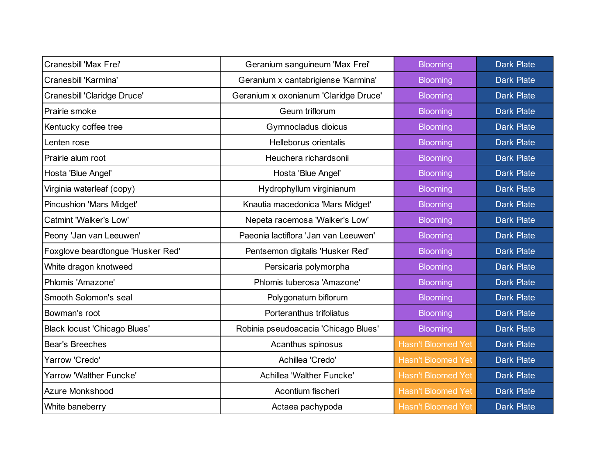| Cranesbill 'Max Frei'               | Geranium sanguineum 'Max Frei'        | <b>Blooming</b>           | <b>Dark Plate</b> |
|-------------------------------------|---------------------------------------|---------------------------|-------------------|
| Cranesbill 'Karmina'                | Geranium x cantabrigiense 'Karmina'   | <b>Blooming</b>           | <b>Dark Plate</b> |
| Cranesbill 'Claridge Druce'         | Geranium x oxonianum 'Claridge Druce' | <b>Blooming</b>           | <b>Dark Plate</b> |
| Prairie smoke                       | Geum triflorum                        | <b>Blooming</b>           | <b>Dark Plate</b> |
| Kentucky coffee tree                | Gymnocladus dioicus                   | <b>Blooming</b>           | <b>Dark Plate</b> |
| Lenten rose                         | Helleborus orientalis                 | <b>Blooming</b>           | <b>Dark Plate</b> |
| Prairie alum root                   | Heuchera richardsonii                 | <b>Blooming</b>           | <b>Dark Plate</b> |
| Hosta 'Blue Angel'                  | Hosta 'Blue Angel'                    | <b>Blooming</b>           | <b>Dark Plate</b> |
| Virginia waterleaf (copy)           | Hydrophyllum virginianum              | <b>Blooming</b>           | <b>Dark Plate</b> |
| <b>Pincushion 'Mars Midget'</b>     | Knautia macedonica 'Mars Midget'      | <b>Blooming</b>           | <b>Dark Plate</b> |
| Catmint 'Walker's Low'              | Nepeta racemosa 'Walker's Low'        | <b>Blooming</b>           | <b>Dark Plate</b> |
| Peony 'Jan van Leeuwen'             | Paeonia lactiflora 'Jan van Leeuwen'  | <b>Blooming</b>           | <b>Dark Plate</b> |
| Foxglove beardtongue 'Husker Red'   | Pentsemon digitalis 'Husker Red'      | <b>Blooming</b>           | <b>Dark Plate</b> |
| White dragon knotweed               | Persicaria polymorpha                 | <b>Blooming</b>           | <b>Dark Plate</b> |
| Phlomis 'Amazone'                   | Phlomis tuberosa 'Amazone'            | <b>Blooming</b>           | <b>Dark Plate</b> |
| Smooth Solomon's seal               | Polygonatum biflorum                  | <b>Blooming</b>           | <b>Dark Plate</b> |
| Bowman's root                       | Porteranthus trifoliatus              | <b>Blooming</b>           | <b>Dark Plate</b> |
| <b>Black locust 'Chicago Blues'</b> | Robinia pseudoacacia 'Chicago Blues'  | <b>Blooming</b>           | <b>Dark Plate</b> |
| <b>Bear's Breeches</b>              | Acanthus spinosus                     | <b>Hasn't Bloomed Yet</b> | <b>Dark Plate</b> |
| Yarrow 'Credo'                      | Achillea 'Credo'                      | <b>Hasn't Bloomed Yet</b> | <b>Dark Plate</b> |
| Yarrow 'Walther Funcke'             | Achillea 'Walther Funcke'             | <b>Hasn't Bloomed Yet</b> | <b>Dark Plate</b> |
| <b>Azure Monkshood</b>              | Acontium fischeri                     | <b>Hasn't Bloomed Yet</b> | <b>Dark Plate</b> |
| White baneberry                     | Actaea pachypoda                      | <b>Hasn't Bloomed Yet</b> | <b>Dark Plate</b> |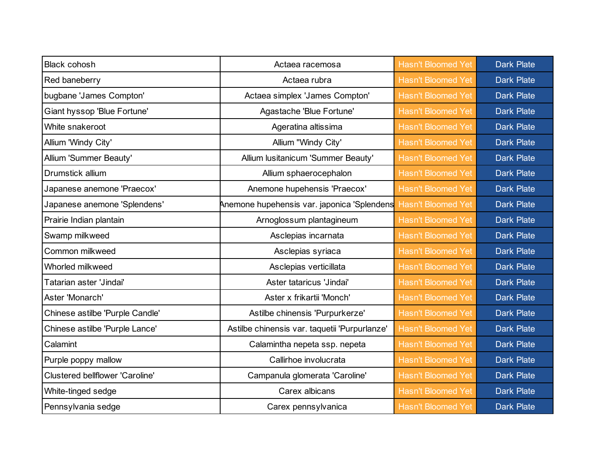| <b>Black cohosh</b>                    | Actaea racemosa                               | <b>Hasn't Bloomed Yet</b> | <b>Dark Plate</b> |
|----------------------------------------|-----------------------------------------------|---------------------------|-------------------|
| Red baneberry                          | Actaea rubra                                  | <b>Hasn't Bloomed Yet</b> | <b>Dark Plate</b> |
| bugbane 'James Compton'                | Actaea simplex 'James Compton'                | <b>Hasn't Bloomed Yet</b> | <b>Dark Plate</b> |
| Giant hyssop 'Blue Fortune'            | Agastache 'Blue Fortune'                      | <b>Hasn't Bloomed Yet</b> | <b>Dark Plate</b> |
| White snakeroot                        | Ageratina altissima                           | <b>Hasn't Bloomed Yet</b> | <b>Dark Plate</b> |
| Allium 'Windy City'                    | Allium "Windy City'                           | <b>Hasn't Bloomed Yet</b> | <b>Dark Plate</b> |
| Allium 'Summer Beauty'                 | Allium lusitanicum 'Summer Beauty'            | <b>Hasn't Bloomed Yet</b> | <b>Dark Plate</b> |
| Drumstick allium                       | Allium sphaerocephalon                        | <b>Hasn't Bloomed Yet</b> | <b>Dark Plate</b> |
| Japanese anemone 'Praecox'             | Anemone hupehensis 'Praecox'                  | <b>Hasn't Bloomed Yet</b> | <b>Dark Plate</b> |
| Japanese anemone 'Splendens'           | Anemone hupehensis var. japonica 'Splendens   | <b>Hasn't Bloomed Yet</b> | <b>Dark Plate</b> |
| Prairie Indian plantain                | Arnoglossum plantagineum                      | <b>Hasn't Bloomed Yet</b> | <b>Dark Plate</b> |
| Swamp milkweed                         | Asclepias incarnata                           | <b>Hasn't Bloomed Yet</b> | <b>Dark Plate</b> |
| Common milkweed                        | Asclepias syriaca                             | <b>Hasn't Bloomed Yet</b> | <b>Dark Plate</b> |
| Whorled milkweed                       | Asclepias verticillata                        | <b>Hasn't Bloomed Yet</b> | <b>Dark Plate</b> |
| Tatarian aster 'Jindai'                | Aster tataricus 'Jindai'                      | <b>Hasn't Bloomed Yet</b> | <b>Dark Plate</b> |
| Aster 'Monarch'                        | Aster x frikartii 'Monch'                     | <b>Hasn't Bloomed Yet</b> | <b>Dark Plate</b> |
| Chinese astilbe 'Purple Candle'        | Astilbe chinensis 'Purpurkerze'               | <b>Hasn't Bloomed Yet</b> | <b>Dark Plate</b> |
| Chinese astilbe 'Purple Lance'         | Astilbe chinensis var. taquetii 'Purpurlanze' | <b>Hasn't Bloomed Yet</b> | <b>Dark Plate</b> |
| Calamint                               | Calamintha nepeta ssp. nepeta                 | <b>Hasn't Bloomed Yet</b> | <b>Dark Plate</b> |
| Purple poppy mallow                    | Callirhoe involucrata                         | <b>Hasn't Bloomed Yet</b> | <b>Dark Plate</b> |
| <b>Clustered bellflower 'Caroline'</b> | Campanula glomerata 'Caroline'                | <b>Hasn't Bloomed Yet</b> | <b>Dark Plate</b> |
| White-tinged sedge                     | Carex albicans                                | <b>Hasn't Bloomed Yet</b> | <b>Dark Plate</b> |
| Pennsylvania sedge                     | Carex pennsylvanica                           | <b>Hasn't Bloomed Yet</b> | <b>Dark Plate</b> |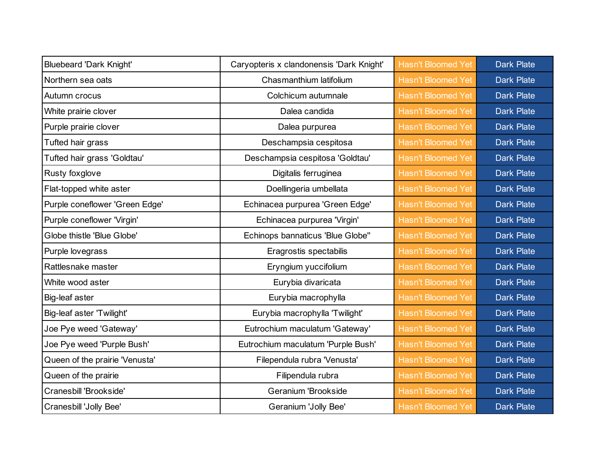| <b>Bluebeard 'Dark Knight'</b> | Caryopteris x clandonensis 'Dark Knight' | <b>Hasn't Bloomed Yet</b> | <b>Dark Plate</b> |
|--------------------------------|------------------------------------------|---------------------------|-------------------|
| Northern sea oats              | Chasmanthium latifolium                  | <b>Hasn't Bloomed Yet</b> | <b>Dark Plate</b> |
| Autumn crocus                  | Colchicum autumnale                      | <b>Hasn't Bloomed Yet</b> | <b>Dark Plate</b> |
| White prairie clover           | Dalea candida                            | <b>Hasn't Bloomed Yet</b> | <b>Dark Plate</b> |
| Purple prairie clover          | Dalea purpurea                           | <b>Hasn't Bloomed Yet</b> | <b>Dark Plate</b> |
| Tufted hair grass              | Deschampsia cespitosa                    | <b>Hasn't Bloomed Yet</b> | <b>Dark Plate</b> |
| Tufted hair grass 'Goldtau'    | Deschampsia cespitosa 'Goldtau'          | <b>Hasn't Bloomed Yet</b> | <b>Dark Plate</b> |
| Rusty foxglove                 | Digitalis ferruginea                     | <b>Hasn't Bloomed Yet</b> | <b>Dark Plate</b> |
| Flat-topped white aster        | Doellingeria umbellata                   | <b>Hasn't Bloomed Yet</b> | <b>Dark Plate</b> |
| Purple coneflower 'Green Edge' | Echinacea purpurea 'Green Edge'          | <b>Hasn't Bloomed Yet</b> | <b>Dark Plate</b> |
| Purple coneflower 'Virgin'     | Echinacea purpurea 'Virgin'              | <b>Hasn't Bloomed Yet</b> | <b>Dark Plate</b> |
| Globe thistle 'Blue Globe'     | Echinops bannaticus 'Blue Globe"         | <b>Hasn't Bloomed Yet</b> | <b>Dark Plate</b> |
| Purple lovegrass               | Eragrostis spectabilis                   | <b>Hasn't Bloomed Yet</b> | <b>Dark Plate</b> |
| Rattlesnake master             | Eryngium yuccifolium                     | <b>Hasn't Bloomed Yet</b> | <b>Dark Plate</b> |
| White wood aster               | Eurybia divaricata                       | <b>Hasn't Bloomed Yet</b> | <b>Dark Plate</b> |
| Big-leaf aster                 | Eurybia macrophylla                      | <b>Hasn't Bloomed Yet</b> | <b>Dark Plate</b> |
| Big-leaf aster 'Twilight'      | Eurybia macrophylla 'Twilight'           | <b>Hasn't Bloomed Yet</b> | <b>Dark Plate</b> |
| Joe Pye weed 'Gateway'         | Eutrochium maculatum 'Gateway'           | <b>Hasn't Bloomed Yet</b> | <b>Dark Plate</b> |
| Joe Pye weed 'Purple Bush'     | Eutrochium maculatum 'Purple Bush'       | <b>Hasn't Bloomed Yet</b> | <b>Dark Plate</b> |
| Queen of the prairie 'Venusta' | Filependula rubra 'Venusta'              | <b>Hasn't Bloomed Yet</b> | <b>Dark Plate</b> |
| Queen of the prairie           | Filipendula rubra                        | <b>Hasn't Bloomed Yet</b> | <b>Dark Plate</b> |
| Cranesbill 'Brookside'         | Geranium 'Brookside                      | <b>Hasn't Bloomed Yet</b> | <b>Dark Plate</b> |
| Cranesbill 'Jolly Bee'         | Geranium 'Jolly Bee'                     | <b>Hasn't Bloomed Yet</b> | <b>Dark Plate</b> |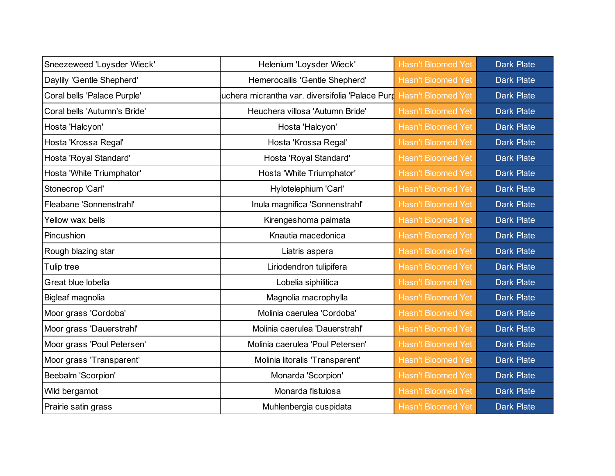| Sneezeweed 'Loysder Wieck'   | Helenium 'Loysder Wieck'                        | <b>Hasn't Bloomed Yet</b> | <b>Dark Plate</b> |
|------------------------------|-------------------------------------------------|---------------------------|-------------------|
| Daylily 'Gentle Shepherd'    | Hemerocallis 'Gentle Shepherd'                  | <b>Hasn't Bloomed Yet</b> | <b>Dark Plate</b> |
| Coral bells 'Palace Purple'  | uchera micrantha var. diversifolia 'Palace Purr | <b>Hasn't Bloomed Yet</b> | <b>Dark Plate</b> |
| Coral bells 'Autumn's Bride' | Heuchera villosa 'Autumn Bride'                 | <b>Hasn't Bloomed Yet</b> | <b>Dark Plate</b> |
| Hosta 'Halcyon'              | Hosta 'Halcyon'                                 | <b>Hasn't Bloomed Yet</b> | <b>Dark Plate</b> |
| Hosta 'Krossa Regal'         | Hosta 'Krossa Regal'                            | <b>Hasn't Bloomed Yet</b> | <b>Dark Plate</b> |
| Hosta 'Royal Standard'       | Hosta 'Royal Standard'                          | <b>Hasn't Bloomed Yet</b> | <b>Dark Plate</b> |
| Hosta 'White Triumphator'    | Hosta 'White Triumphator'                       | <b>Hasn't Bloomed Yet</b> | <b>Dark Plate</b> |
| Stonecrop 'Carl'             | Hylotelephium 'Carl'                            | <b>Hasn't Bloomed Yet</b> | <b>Dark Plate</b> |
| Fleabane 'Sonnenstrahl'      | Inula magnifica 'Sonnenstrahl'                  | <b>Hasn't Bloomed Yet</b> | <b>Dark Plate</b> |
| Yellow wax bells             | Kirengeshoma palmata                            | <b>Hasn't Bloomed Yet</b> | <b>Dark Plate</b> |
| Pincushion                   | Knautia macedonica                              | <b>Hasn't Bloomed Yet</b> | <b>Dark Plate</b> |
| Rough blazing star           | Liatris aspera                                  | <b>Hasn't Bloomed Yet</b> | <b>Dark Plate</b> |
| Tulip tree                   | Liriodendron tulipifera                         | <b>Hasn't Bloomed Yet</b> | <b>Dark Plate</b> |
| Great blue lobelia           | Lobelia siphilitica                             | <b>Hasn't Bloomed Yet</b> | <b>Dark Plate</b> |
| Bigleaf magnolia             | Magnolia macrophylla                            | <b>Hasn't Bloomed Yet</b> | <b>Dark Plate</b> |
| Moor grass 'Cordoba'         | Molinia caerulea 'Cordoba'                      | <b>Hasn't Bloomed Yet</b> | <b>Dark Plate</b> |
| Moor grass 'Dauerstrahl'     | Molinia caerulea 'Dauerstrahl'                  | <b>Hasn't Bloomed Yet</b> | <b>Dark Plate</b> |
| Moor grass 'Poul Petersen'   | Molinia caerulea 'Poul Petersen'                | <b>Hasn't Bloomed Yet</b> | <b>Dark Plate</b> |
| Moor grass 'Transparent'     | Molinia litoralis 'Transparent'                 | <b>Hasn't Bloomed Yet</b> | <b>Dark Plate</b> |
| Beebalm 'Scorpion'           | Monarda 'Scorpion'                              | <b>Hasn't Bloomed Yet</b> | <b>Dark Plate</b> |
| Wild bergamot                | Monarda fistulosa                               | <b>Hasn't Bloomed Yet</b> | <b>Dark Plate</b> |
| Prairie satin grass          | Muhlenbergia cuspidata                          | <b>Hasn't Bloomed Yet</b> | <b>Dark Plate</b> |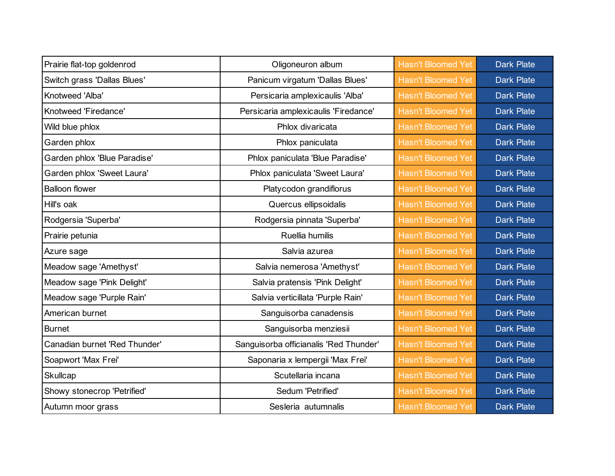| Prairie flat-top goldenrod    | Oligoneuron album                      | <b>Hasn't Bloomed Yet</b> | <b>Dark Plate</b> |
|-------------------------------|----------------------------------------|---------------------------|-------------------|
| Switch grass 'Dallas Blues'   | Panicum virgatum 'Dallas Blues'        | <b>Hasn't Bloomed Yet</b> | <b>Dark Plate</b> |
| Knotweed 'Alba'               | Persicaria amplexicaulis 'Alba'        | <b>Hasn't Bloomed Yet</b> | <b>Dark Plate</b> |
| Knotweed 'Firedance'          | Persicaria amplexicaulis 'Firedance'   | <b>Hasn't Bloomed Yet</b> | <b>Dark Plate</b> |
| Wild blue phlox               | Phlox divaricata                       | <b>Hasn't Bloomed Yet</b> | <b>Dark Plate</b> |
| Garden phlox                  | Phlox paniculata                       | <b>Hasn't Bloomed Yet</b> | <b>Dark Plate</b> |
| Garden phlox 'Blue Paradise'  | Phlox paniculata 'Blue Paradise'       | <b>Hasn't Bloomed Yet</b> | <b>Dark Plate</b> |
| Garden phlox 'Sweet Laura'    | Phlox paniculata 'Sweet Laura'         | <b>Hasn't Bloomed Yet</b> | <b>Dark Plate</b> |
| <b>Balloon flower</b>         | Platycodon grandiflorus                | <b>Hasn't Bloomed Yet</b> | <b>Dark Plate</b> |
| Hill's oak                    | Quercus ellipsoidalis                  | <b>Hasn't Bloomed Yet</b> | <b>Dark Plate</b> |
| Rodgersia 'Superba'           | Rodgersia pinnata 'Superba'            | <b>Hasn't Bloomed Yet</b> | <b>Dark Plate</b> |
| Prairie petunia               | Ruellia humilis                        | <b>Hasn't Bloomed Yet</b> | <b>Dark Plate</b> |
| Azure sage                    | Salvia azurea                          | <b>Hasn't Bloomed Yet</b> | <b>Dark Plate</b> |
| Meadow sage 'Amethyst'        | Salvia nemerosa 'Amethyst'             | <b>Hasn't Bloomed Yet</b> | <b>Dark Plate</b> |
| Meadow sage 'Pink Delight'    | Salvia pratensis 'Pink Delight'        | <b>Hasn't Bloomed Yet</b> | <b>Dark Plate</b> |
| Meadow sage 'Purple Rain'     | Salvia verticillata 'Purple Rain'      | <b>Hasn't Bloomed Yet</b> | <b>Dark Plate</b> |
| American burnet               | Sanguisorba canadensis                 | <b>Hasn't Bloomed Yet</b> | <b>Dark Plate</b> |
| <b>Burnet</b>                 | Sanguisorba menziesii                  | <b>Hasn't Bloomed Yet</b> | <b>Dark Plate</b> |
| Canadian burnet 'Red Thunder' | Sanguisorba officianalis 'Red Thunder' | <b>Hasn't Bloomed Yet</b> | <b>Dark Plate</b> |
| Soapwort 'Max Frei'           | Saponaria x lempergii 'Max Frei'       | <b>Hasn't Bloomed Yet</b> | <b>Dark Plate</b> |
| Skullcap                      | Scutellaria incana                     | <b>Hasn't Bloomed Yet</b> | <b>Dark Plate</b> |
| Showy stonecrop 'Petrified'   | Sedum 'Petrified'                      | <b>Hasn't Bloomed Yet</b> | <b>Dark Plate</b> |
| Autumn moor grass             | Sesleria autumnalis                    | <b>Hasn't Bloomed Yet</b> | <b>Dark Plate</b> |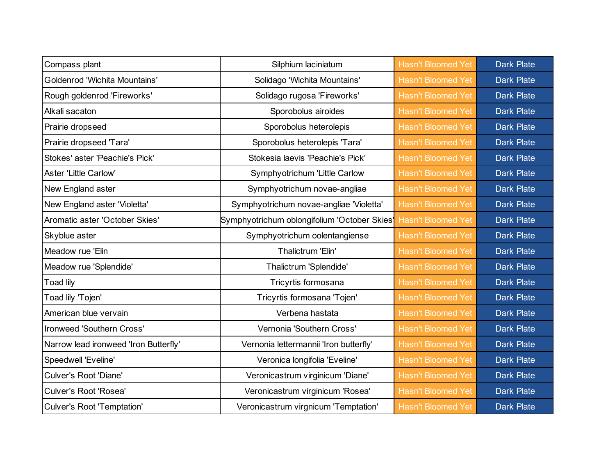| Compass plant                         | Silphium laciniatum                          | <b>Hasn't Bloomed Yet</b> | <b>Dark Plate</b> |
|---------------------------------------|----------------------------------------------|---------------------------|-------------------|
| <b>Goldenrod 'Wichita Mountains'</b>  | Solidago 'Wichita Mountains'                 | <b>Hasn't Bloomed Yet</b> | <b>Dark Plate</b> |
| Rough goldenrod 'Fireworks'           | Solidago rugosa 'Fireworks'                  | <b>Hasn't Bloomed Yet</b> | <b>Dark Plate</b> |
| Alkali sacaton                        | Sporobolus airoides                          | <b>Hasn't Bloomed Yet</b> | <b>Dark Plate</b> |
| Prairie dropseed                      | Sporobolus heterolepis                       | <b>Hasn't Bloomed Yet</b> | <b>Dark Plate</b> |
| Prairie dropseed 'Tara'               | Sporobolus heterolepis 'Tara'                | <b>Hasn't Bloomed Yet</b> | <b>Dark Plate</b> |
| Stokes' aster 'Peachie's Pick'        | Stokesia laevis 'Peachie's Pick'             | <b>Hasn't Bloomed Yet</b> | <b>Dark Plate</b> |
| <b>Aster 'Little Carlow'</b>          | Symphyotrichum 'Little Carlow                | <b>Hasn't Bloomed Yet</b> | <b>Dark Plate</b> |
| New England aster                     | Symphyotrichum novae-angliae                 | <b>Hasn't Bloomed Yet</b> | <b>Dark Plate</b> |
| New England aster 'Violetta'          | Symphyotrichum novae-angliae 'Violetta'      | <b>Hasn't Bloomed Yet</b> | <b>Dark Plate</b> |
| Aromatic aster 'October Skies'        | Symphyotrichum oblongifolium 'October Skies' | <b>Hasn't Bloomed Yet</b> | <b>Dark Plate</b> |
| Skyblue aster                         | Symphyotrichum oolentangiense                | <b>Hasn't Bloomed Yet</b> | <b>Dark Plate</b> |
| Meadow rue 'Elin                      | Thalictrum 'Elin'                            | <b>Hasn't Bloomed Yet</b> | <b>Dark Plate</b> |
| Meadow rue 'Splendide'                | Thalictrum 'Splendide'                       | <b>Hasn't Bloomed Yet</b> | <b>Dark Plate</b> |
| Toad lily                             | Tricyrtis formosana                          | <b>Hasn't Bloomed Yet</b> | <b>Dark Plate</b> |
| Toad lily 'Tojen'                     | Tricyrtis formosana 'Tojen'                  | <b>Hasn't Bloomed Yet</b> | <b>Dark Plate</b> |
| American blue vervain                 | Verbena hastata                              | <b>Hasn't Bloomed Yet</b> | <b>Dark Plate</b> |
| Ironweed 'Southern Cross'             | Vernonia 'Southern Cross'                    | <b>Hasn't Bloomed Yet</b> | <b>Dark Plate</b> |
| Narrow lead ironweed 'Iron Butterfly' | Vernonia lettermannii 'Iron butterfly'       | <b>Hasn't Bloomed Yet</b> | <b>Dark Plate</b> |
| Speedwell 'Eveline'                   | Veronica longifolia 'Eveline'                | <b>Hasn't Bloomed Yet</b> | <b>Dark Plate</b> |
| <b>Culver's Root 'Diane'</b>          | Veronicastrum virginicum 'Diane'             | <b>Hasn't Bloomed Yet</b> | <b>Dark Plate</b> |
| Culver's Root 'Rosea'                 | Veronicastrum virginicum 'Rosea'             | <b>Hasn't Bloomed Yet</b> | <b>Dark Plate</b> |
| <b>Culver's Root 'Temptation'</b>     | Veronicastrum virgnicum 'Temptation'         | <b>Hasn't Bloomed Yet</b> | <b>Dark Plate</b> |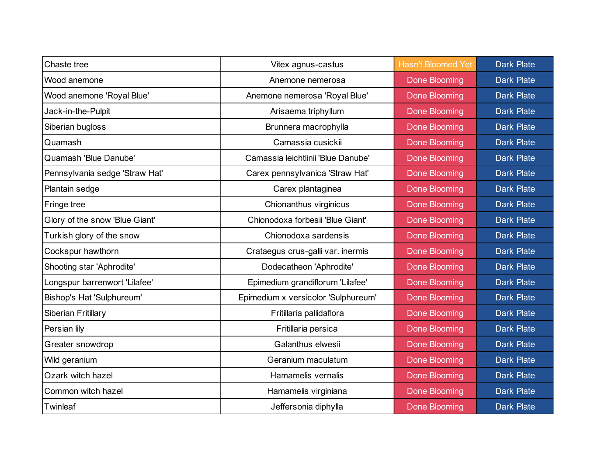| Chaste tree                    | Vitex agnus-castus                  | <b>Hasn't Bloomed Yet</b> | <b>Dark Plate</b> |
|--------------------------------|-------------------------------------|---------------------------|-------------------|
| Wood anemone                   | Anemone nemerosa                    | Done Blooming             | <b>Dark Plate</b> |
| Wood anemone 'Royal Blue'      | Anemone nemerosa 'Royal Blue'       | Done Blooming             | <b>Dark Plate</b> |
| Jack-in-the-Pulpit             | Arisaema triphyllum                 | Done Blooming             | <b>Dark Plate</b> |
| Siberian bugloss               | Brunnera macrophylla                | <b>Done Blooming</b>      | <b>Dark Plate</b> |
| Quamash                        | Camassia cusickii                   | <b>Done Blooming</b>      | <b>Dark Plate</b> |
| Quamash 'Blue Danube'          | Camassia leichtlinii 'Blue Danube'  | Done Blooming             | <b>Dark Plate</b> |
| Pennsylvania sedge 'Straw Hat' | Carex pennsylvanica 'Straw Hat'     | Done Blooming             | <b>Dark Plate</b> |
| Plantain sedge                 | Carex plantaginea                   | Done Blooming             | <b>Dark Plate</b> |
| Fringe tree                    | Chionanthus virginicus              | Done Blooming             | <b>Dark Plate</b> |
| Glory of the snow 'Blue Giant' | Chionodoxa forbesii 'Blue Giant'    | Done Blooming             | <b>Dark Plate</b> |
| Turkish glory of the snow      | Chionodoxa sardensis                | Done Blooming             | <b>Dark Plate</b> |
| Cockspur hawthorn              | Crataegus crus-galli var. inermis   | Done Blooming             | <b>Dark Plate</b> |
| Shooting star 'Aphrodite'      | Dodecatheon 'Aphrodite'             | Done Blooming             | <b>Dark Plate</b> |
| Longspur barrenwort 'Lilafee'  | Epimedium grandiflorum 'Lilafee'    | Done Blooming             | <b>Dark Plate</b> |
| Bishop's Hat 'Sulphureum'      | Epimedium x versicolor 'Sulphureum' | Done Blooming             | <b>Dark Plate</b> |
| Siberian Fritillary            | Fritillaria pallidaflora            | Done Blooming             | <b>Dark Plate</b> |
| Persian lily                   | Fritillaria persica                 | Done Blooming             | <b>Dark Plate</b> |
| Greater snowdrop               | Galanthus elwesii                   | Done Blooming             | <b>Dark Plate</b> |
| Wild geranium                  | Geranium maculatum                  | Done Blooming             | <b>Dark Plate</b> |
| Ozark witch hazel              | Hamamelis vernalis                  | Done Blooming             | <b>Dark Plate</b> |
| Common witch hazel             | Hamamelis virginiana                | Done Blooming             | <b>Dark Plate</b> |
| Twinleaf                       | Jeffersonia diphylla                | <b>Done Blooming</b>      | <b>Dark Plate</b> |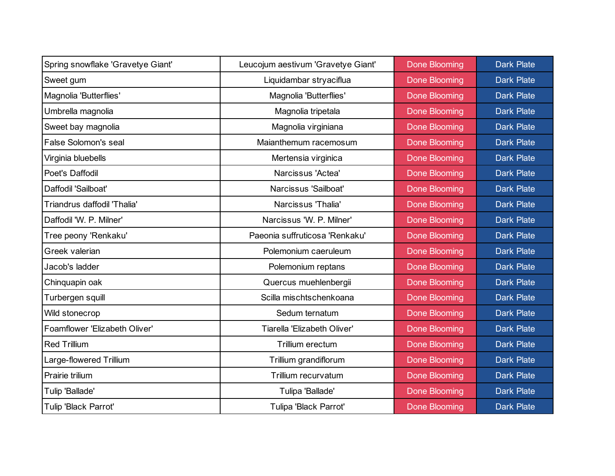| Spring snowflake 'Gravetye Giant' | Leucojum aestivum 'Gravetye Giant' | <b>Done Blooming</b> | <b>Dark Plate</b> |
|-----------------------------------|------------------------------------|----------------------|-------------------|
| Sweet gum                         | Liquidambar stryaciflua            | Done Blooming        | <b>Dark Plate</b> |
| Magnolia 'Butterflies'            | Magnolia 'Butterflies'             | Done Blooming        | <b>Dark Plate</b> |
| Umbrella magnolia                 | Magnolia tripetala                 | Done Blooming        | <b>Dark Plate</b> |
| Sweet bay magnolia                | Magnolia virginiana                | Done Blooming        | <b>Dark Plate</b> |
| <b>False Solomon's seal</b>       | Maianthemum racemosum              | Done Blooming        | <b>Dark Plate</b> |
| Virginia bluebells                | Mertensia virginica                | Done Blooming        | <b>Dark Plate</b> |
| Poet's Daffodil                   | Narcissus 'Actea'                  | Done Blooming        | <b>Dark Plate</b> |
| Daffodil 'Sailboat'               | Narcissus 'Sailboat'               | <b>Done Blooming</b> | <b>Dark Plate</b> |
| Triandrus daffodil 'Thalia'       | Narcissus 'Thalia'                 | Done Blooming        | <b>Dark Plate</b> |
| Daffodil 'W. P. Milner'           | Narcissus 'W. P. Milner'           | Done Blooming        | <b>Dark Plate</b> |
| Tree peony 'Renkaku'              | Paeonia suffruticosa 'Renkaku'     | Done Blooming        | <b>Dark Plate</b> |
| Greek valerian                    | Polemonium caeruleum               | Done Blooming        | <b>Dark Plate</b> |
| Jacob's ladder                    | Polemonium reptans                 | <b>Done Blooming</b> | <b>Dark Plate</b> |
| Chinquapin oak                    | Quercus muehlenbergii              | Done Blooming        | <b>Dark Plate</b> |
| Turbergen squill                  | Scilla mischtschenkoana            | Done Blooming        | <b>Dark Plate</b> |
| Wild stonecrop                    | Sedum ternatum                     | Done Blooming        | <b>Dark Plate</b> |
| Foamflower 'Elizabeth Oliver'     | Tiarella 'Elizabeth Oliver'        | Done Blooming        | <b>Dark Plate</b> |
| <b>Red Trillium</b>               | Trillium erectum                   | Done Blooming        | <b>Dark Plate</b> |
| Large-flowered Trillium           | Trillium grandiflorum              | Done Blooming        | <b>Dark Plate</b> |
| Prairie trilium                   | Trillium recurvatum                | <b>Done Blooming</b> | <b>Dark Plate</b> |
| Tulip 'Ballade'                   | Tulipa 'Ballade'                   | Done Blooming        | <b>Dark Plate</b> |
| Tulip 'Black Parrot'              | Tulipa 'Black Parrot'              | <b>Done Blooming</b> | <b>Dark Plate</b> |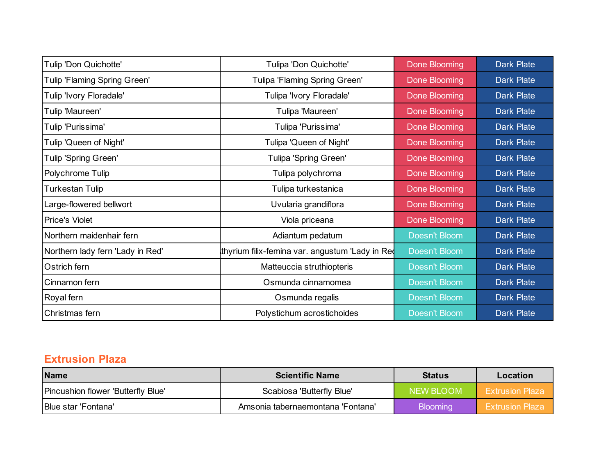| Tulip 'Don Quichotte'               | Tulipa 'Don Quichotte'                          | Done Blooming        | <b>Dark Plate</b> |
|-------------------------------------|-------------------------------------------------|----------------------|-------------------|
| <b>Tulip 'Flaming Spring Green'</b> | Tulipa 'Flaming Spring Green'                   | Done Blooming        | <b>Dark Plate</b> |
| Tulip 'Ivory Floradale'             | Tulipa 'Ivory Floradale'                        | Done Blooming        | <b>Dark Plate</b> |
| Tulip 'Maureen'                     | Tulipa 'Maureen'                                | Done Blooming        | <b>Dark Plate</b> |
| Tulip 'Purissima'                   | Tulipa 'Purissima'                              | Done Blooming        | <b>Dark Plate</b> |
| Tulip 'Queen of Night'              | Tulipa 'Queen of Night'                         | Done Blooming        | <b>Dark Plate</b> |
| Tulip 'Spring Green'                | Tulipa 'Spring Green'                           | Done Blooming        | <b>Dark Plate</b> |
| Polychrome Tulip                    | Tulipa polychroma                               | Done Blooming        | <b>Dark Plate</b> |
| <b>Turkestan Tulip</b>              | Tulipa turkestanica                             | <b>Done Blooming</b> | <b>Dark Plate</b> |
| Large-flowered bellwort             | Uvularia grandiflora                            | Done Blooming        | Dark Plate        |
| Price's Violet                      | Viola priceana                                  | Done Blooming        | <b>Dark Plate</b> |
| Northern maidenhair fern            | Adiantum pedatum                                | Doesn't Bloom        | <b>Dark Plate</b> |
| Northern lady fern 'Lady in Red'    | thyrium filix-femina var. angustum 'Lady in Red | Doesn't Bloom        | <b>Dark Plate</b> |
| Ostrich fern                        | Matteuccia struthiopteris                       | Doesn't Bloom        | <b>Dark Plate</b> |
| Cinnamon fern                       | Osmunda cinnamomea                              | Doesn't Bloom        | <b>Dark Plate</b> |
| Royal fern                          | Osmunda regalis                                 | Doesn't Bloom        | Dark Plate        |
| Christmas fern                      | Polystichum acrostichoides                      | Doesn't Bloom        | <b>Dark Plate</b> |

### **Extrusion Plaza**

| Name                               | <b>Scientific Name</b>            | <b>Status</b>   | Location               |
|------------------------------------|-----------------------------------|-----------------|------------------------|
| Pincushion flower 'Butterfly Blue' | Scabiosa 'Butterfly Blue'         | NEW BLOOM       | <b>Extrusion Plaza</b> |
| Blue star 'Fontana'                | Amsonia tabernaemontana 'Fontana' | <b>Blooming</b> | <b>Extrusion Plaza</b> |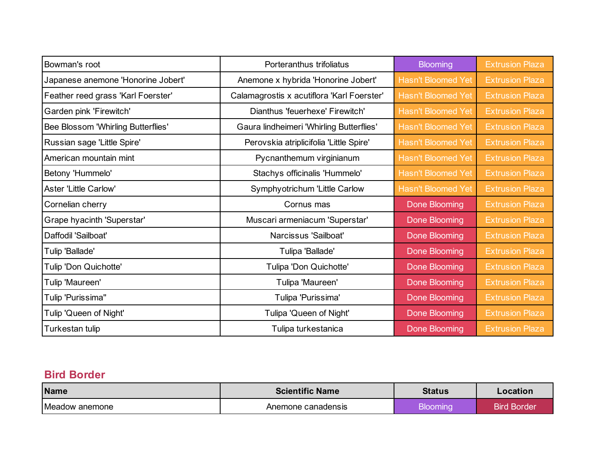| Bowman's root                      | Porteranthus trifoliatus                   | <b>Blooming</b>           | <b>Extrusion Plaza</b> |
|------------------------------------|--------------------------------------------|---------------------------|------------------------|
| Japanese anemone 'Honorine Jobert' | Anemone x hybrida 'Honorine Jobert'        | <b>Hasn't Bloomed Yet</b> | <b>Extrusion Plaza</b> |
| Feather reed grass 'Karl Foerster' | Calamagrostis x acutiflora 'Karl Foerster' | <b>Hasn't Bloomed Yet</b> | <b>Extrusion Plaza</b> |
| Garden pink 'Firewitch'            | Dianthus 'feuerhexe' Firewitch'            | <b>Hasn't Bloomed Yet</b> | <b>Extrusion Plaza</b> |
| Bee Blossom 'Whirling Butterflies' | Gaura lindheimeri 'Whirling Butterflies'   | <b>Hasn't Bloomed Yet</b> | <b>Extrusion Plaza</b> |
| Russian sage 'Little Spire'        | Perovskia atriplicifolia 'Little Spire'    | <b>Hasn't Bloomed Yet</b> | <b>Extrusion Plaza</b> |
| American mountain mint             | Pycnanthemum virginianum                   | <b>Hasn't Bloomed Yet</b> | <b>Extrusion Plaza</b> |
| Betony 'Hummelo'                   | Stachys officinalis 'Hummelo'              | <b>Hasn't Bloomed Yet</b> | <b>Extrusion Plaza</b> |
| <b>Aster 'Little Carlow'</b>       | Symphyotrichum 'Little Carlow              | <b>Hasn't Bloomed Yet</b> | <b>Extrusion Plaza</b> |
| Cornelian cherry                   | Cornus mas                                 | Done Blooming             | <b>Extrusion Plaza</b> |
| Grape hyacinth 'Superstar'         | Muscari armeniacum 'Superstar'             | Done Blooming             | <b>Extrusion Plaza</b> |
| Daffodil 'Sailboat'                | Narcissus 'Sailboat'                       | Done Blooming             | <b>Extrusion Plaza</b> |
| Tulip 'Ballade'                    | Tulipa 'Ballade'                           | <b>Done Blooming</b>      | <b>Extrusion Plaza</b> |
| Tulip 'Don Quichotte'              | Tulipa 'Don Quichotte'                     | Done Blooming             | <b>Extrusion Plaza</b> |
| Tulip 'Maureen'                    | Tulipa 'Maureen'                           | Done Blooming             | <b>Extrusion Plaza</b> |
| Tulip 'Purissima"                  | Tulipa 'Purissima'                         | <b>Done Blooming</b>      | <b>Extrusion Plaza</b> |
| Tulip 'Queen of Night'             | Tulipa 'Queen of Night'                    | Done Blooming             | <b>Extrusion Plaza</b> |
| Turkestan tulip                    | Tulipa turkestanica                        | <b>Done Blooming</b>      | <b>Extrusion Plaza</b> |

### **Bird Border**

| <b>Name</b>    | <b>Scientific Name</b> | Status   | Location           |
|----------------|------------------------|----------|--------------------|
| Meadow anemone | Anemone canadensis     | Bloomina | <b>Bird Border</b> |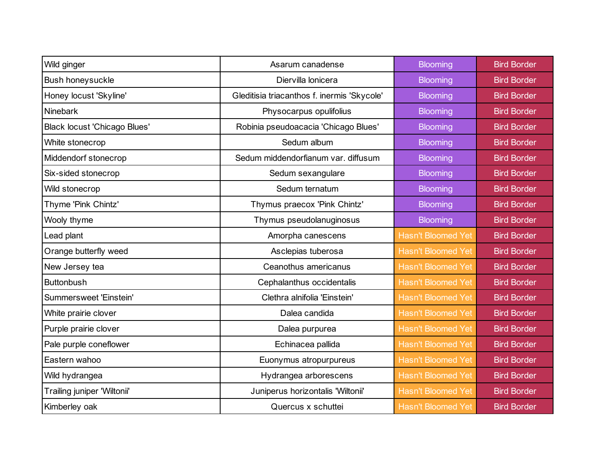| Wild ginger                         | Asarum canadense                            | <b>Blooming</b>           | <b>Bird Border</b> |
|-------------------------------------|---------------------------------------------|---------------------------|--------------------|
| Bush honeysuckle                    | Diervilla lonicera                          | <b>Blooming</b>           | <b>Bird Border</b> |
| Honey locust 'Skyline'              | Gleditisia triacanthos f. inermis 'Skycole' | <b>Blooming</b>           | <b>Bird Border</b> |
| <b>Ninebark</b>                     | Physocarpus opulifolius                     | <b>Blooming</b>           | <b>Bird Border</b> |
| <b>Black locust 'Chicago Blues'</b> | Robinia pseudoacacia 'Chicago Blues'        | <b>Blooming</b>           | <b>Bird Border</b> |
| White stonecrop                     | Sedum album                                 | <b>Blooming</b>           | <b>Bird Border</b> |
| Middendorf stonecrop                | Sedum middendorfianum var. diffusum         | <b>Blooming</b>           | <b>Bird Border</b> |
| Six-sided stonecrop                 | Sedum sexangulare                           | <b>Blooming</b>           | <b>Bird Border</b> |
| Wild stonecrop                      | Sedum ternatum                              | <b>Blooming</b>           | <b>Bird Border</b> |
| Thyme 'Pink Chintz'                 | Thymus praecox 'Pink Chintz'                | <b>Blooming</b>           | <b>Bird Border</b> |
| Wooly thyme                         | Thymus pseudolanuginosus                    | <b>Blooming</b>           | <b>Bird Border</b> |
| Lead plant                          | Amorpha canescens                           | <b>Hasn't Bloomed Yet</b> | <b>Bird Border</b> |
| Orange butterfly weed               | Asclepias tuberosa                          | <b>Hasn't Bloomed Yet</b> | <b>Bird Border</b> |
| New Jersey tea                      | Ceanothus americanus                        | <b>Hasn't Bloomed Yet</b> | <b>Bird Border</b> |
| <b>Buttonbush</b>                   | Cephalanthus occidentalis                   | <b>Hasn't Bloomed Yet</b> | <b>Bird Border</b> |
| Summersweet 'Einstein'              | Clethra alnifolia 'Einstein'                | <b>Hasn't Bloomed Yet</b> | <b>Bird Border</b> |
| White prairie clover                | Dalea candida                               | <b>Hasn't Bloomed Yet</b> | <b>Bird Border</b> |
| Purple prairie clover               | Dalea purpurea                              | <b>Hasn't Bloomed Yet</b> | <b>Bird Border</b> |
| Pale purple coneflower              | Echinacea pallida                           | <b>Hasn't Bloomed Yet</b> | <b>Bird Border</b> |
| Eastern wahoo                       | Euonymus atropurpureus                      | <b>Hasn't Bloomed Yet</b> | <b>Bird Border</b> |
| Wild hydrangea                      | Hydrangea arborescens                       | <b>Hasn't Bloomed Yet</b> | <b>Bird Border</b> |
| Trailing juniper 'Wiltonii'         | Juniperus horizontalis 'Wiltonii'           | <b>Hasn't Bloomed Yet</b> | <b>Bird Border</b> |
| Kimberley oak                       | Quercus x schuttei                          | <b>Hasn't Bloomed Yet</b> | <b>Bird Border</b> |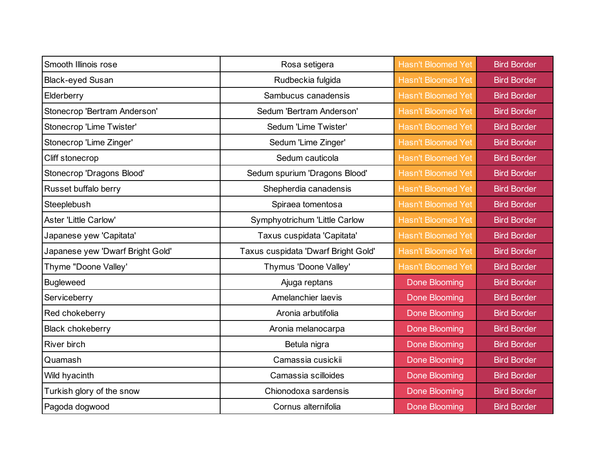| Smooth Illinois rose             | Rosa setigera                       | <b>Hasn't Bloomed Yet</b> | <b>Bird Border</b> |
|----------------------------------|-------------------------------------|---------------------------|--------------------|
| <b>Black-eyed Susan</b>          | Rudbeckia fulgida                   | <b>Hasn't Bloomed Yet</b> | <b>Bird Border</b> |
| Elderberry                       | Sambucus canadensis                 | <b>Hasn't Bloomed Yet</b> | <b>Bird Border</b> |
| Stonecrop 'Bertram Anderson'     | Sedum 'Bertram Anderson'            | <b>Hasn't Bloomed Yet</b> | <b>Bird Border</b> |
| Stonecrop 'Lime Twister'         | Sedum 'Lime Twister'                | <b>Hasn't Bloomed Yet</b> | <b>Bird Border</b> |
| Stonecrop 'Lime Zinger'          | Sedum 'Lime Zinger'                 | <b>Hasn't Bloomed Yet</b> | <b>Bird Border</b> |
| Cliff stonecrop                  | Sedum cauticola                     | <b>Hasn't Bloomed Yet</b> | <b>Bird Border</b> |
| Stonecrop 'Dragons Blood'        | Sedum spurium 'Dragons Blood'       | <b>Hasn't Bloomed Yet</b> | <b>Bird Border</b> |
| Russet buffalo berry             | Shepherdia canadensis               | <b>Hasn't Bloomed Yet</b> | <b>Bird Border</b> |
| Steeplebush                      | Spiraea tomentosa                   | <b>Hasn't Bloomed Yet</b> | <b>Bird Border</b> |
| Aster 'Little Carlow'            | Symphyotrichum 'Little Carlow       | <b>Hasn't Bloomed Yet</b> | <b>Bird Border</b> |
| Japanese yew 'Capitata'          | Taxus cuspidata 'Capitata'          | <b>Hasn't Bloomed Yet</b> | <b>Bird Border</b> |
| Japanese yew 'Dwarf Bright Gold' | Taxus cuspidata 'Dwarf Bright Gold' | <b>Hasn't Bloomed Yet</b> | <b>Bird Border</b> |
| Thyme "Doone Valley'             | Thymus 'Doone Valley'               | <b>Hasn't Bloomed Yet</b> | <b>Bird Border</b> |
| <b>Bugleweed</b>                 | Ajuga reptans                       | <b>Done Blooming</b>      | <b>Bird Border</b> |
| Serviceberry                     | Amelanchier laevis                  | <b>Done Blooming</b>      | <b>Bird Border</b> |
| Red chokeberry                   | Aronia arbutifolia                  | Done Blooming             | <b>Bird Border</b> |
| <b>Black chokeberry</b>          | Aronia melanocarpa                  | <b>Done Blooming</b>      | <b>Bird Border</b> |
| River birch                      | Betula nigra                        | Done Blooming             | <b>Bird Border</b> |
| Quamash                          | Camassia cusickii                   | Done Blooming             | <b>Bird Border</b> |
| Wild hyacinth                    | Camassia scilloides                 | <b>Done Blooming</b>      | <b>Bird Border</b> |
| Turkish glory of the snow        | Chionodoxa sardensis                | <b>Done Blooming</b>      | <b>Bird Border</b> |
| Pagoda dogwood                   | Cornus alternifolia                 | Done Blooming             | <b>Bird Border</b> |